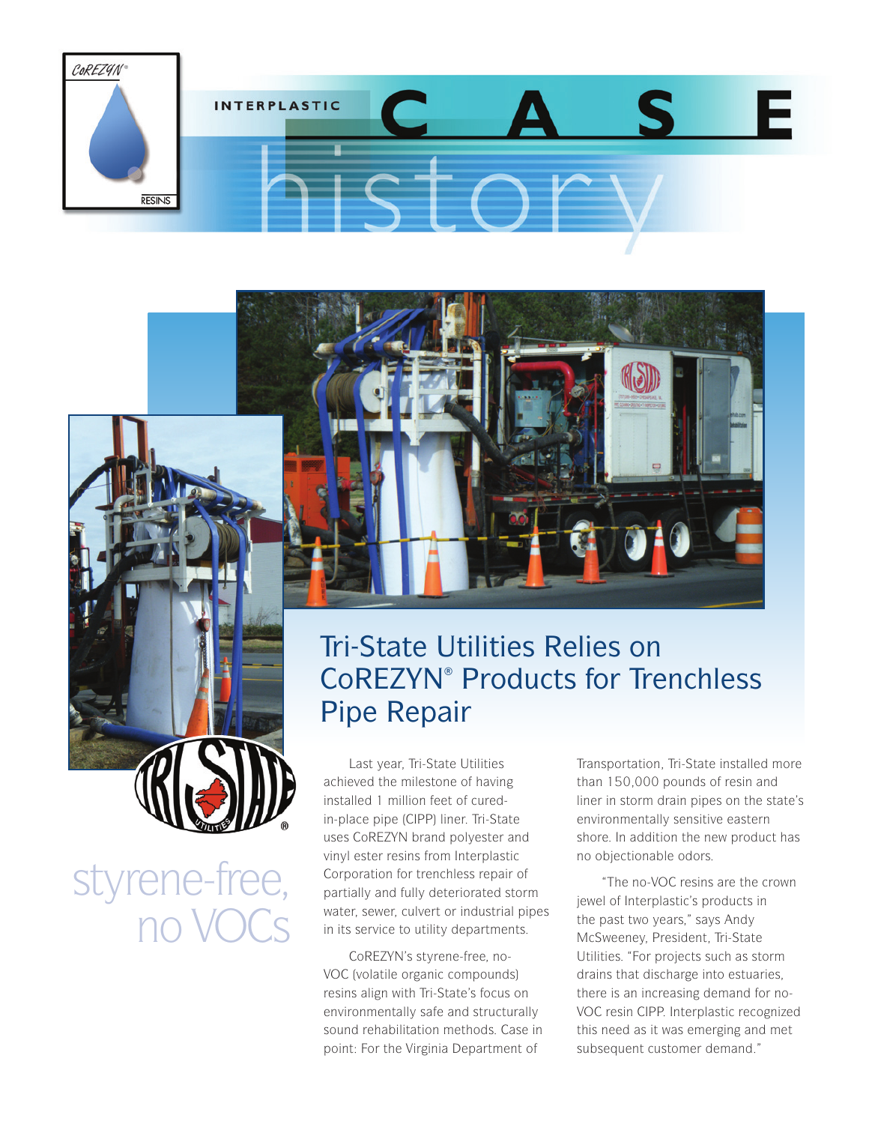

## Tri-State Utilities Relies on CoREZYN® Products for Trenchless Pipe Repair

Last year, Tri-State Utilities achieved the milestone of having installed 1 million feet of curedin-place pipe (CIPP) liner. Tri-State uses CoREZYN brand polyester and vinyl ester resins from Interplastic Corporation for trenchless repair of partially and fully deteriorated storm water, sewer, culvert or industrial pipes in its service to utility departments.

styrene-free,

no VOCs

CoREZYN's styrene-free, no-VOC (volatile organic compounds) resins align with Tri-State's focus on environmentally safe and structurally sound rehabilitation methods. Case in point: For the Virginia Department of

Transportation, Tri-State installed more than 150,000 pounds of resin and liner in storm drain pipes on the state's environmentally sensitive eastern shore. In addition the new product has no objectionable odors.

"The no-VOC resins are the crown jewel of Interplastic's products in the past two years," says Andy McSweeney, President, Tri-State Utilities. "For projects such as storm drains that discharge into estuaries, there is an increasing demand for no-VOC resin CIPP. Interplastic recognized this need as it was emerging and met subsequent customer demand."